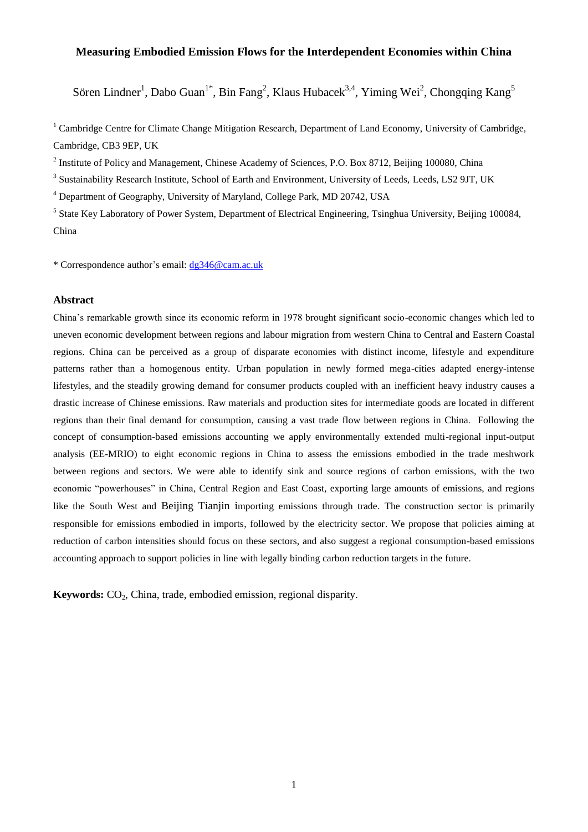# **Measuring Embodied Emission Flows for the Interdependent Economies within China**

Sören Lindner<sup>1</sup>, Dabo Guan<sup>1\*</sup>, Bin Fang<sup>2</sup>, Klaus Hubacek<sup>3,4</sup>, Yiming Wei<sup>2</sup>, Chongqing Kang<sup>5</sup>

<sup>1</sup> Cambridge Centre for Climate Change Mitigation Research, Department of Land Economy, University of Cambridge, Cambridge, CB3 9EP, UK

<sup>2</sup> Institute of Policy and Management, Chinese Academy of Sciences, P.O. Box 8712, Beijing 100080, China

<sup>3</sup> Sustainability Research Institute, School of Earth and Environment, University of Leeds, Leeds, LS2 9JT, UK

<sup>4</sup> Department of Geography, University of Maryland, College Park, MD 20742, USA

<sup>5</sup> State Key Laboratory of Power System, Department of Electrical Engineering, Tsinghua University, Beijing 100084, China

\* Correspondence author's email[: dg346@cam.ac.uk](mailto:dg346@cam.ac.uk)

## **Abstract**

China's remarkable growth since its economic reform in 1978 brought significant socio-economic changes which led to uneven economic development between regions and labour migration from western China to Central and Eastern Coastal regions. China can be perceived as a group of disparate economies with distinct income, lifestyle and expenditure patterns rather than a homogenous entity. Urban population in newly formed mega-cities adapted energy-intense lifestyles, and the steadily growing demand for consumer products coupled with an inefficient heavy industry causes a drastic increase of Chinese emissions. Raw materials and production sites for intermediate goods are located in different regions than their final demand for consumption, causing a vast trade flow between regions in China. Following the concept of consumption-based emissions accounting we apply environmentally extended multi-regional input-output analysis (EE-MRIO) to eight economic regions in China to assess the emissions embodied in the trade meshwork between regions and sectors. We were able to identify sink and source regions of carbon emissions, with the two economic "powerhouses" in China, Central Region and East Coast, exporting large amounts of emissions, and regions like the South West and Beijing Tianjin importing emissions through trade. The construction sector is primarily responsible for emissions embodied in imports, followed by the electricity sector. We propose that policies aiming at reduction of carbon intensities should focus on these sectors, and also suggest a regional consumption-based emissions accounting approach to support policies in line with legally binding carbon reduction targets in the future.

**Keywords:** CO<sub>2</sub>, China, trade, embodied emission, regional disparity.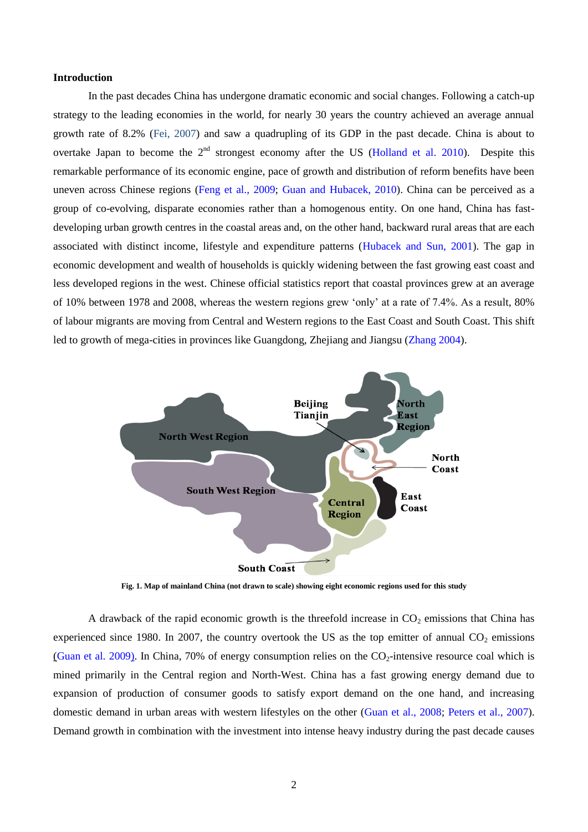#### **Introduction**

In the past decades China has undergone dramatic economic and social changes. Following a catch-up strategy to the leading economies in the world, for nearly 30 years the country achieved an average annual growth rate of 8.2% [\(Fei, 2007\)](#page-12-0) and saw a quadrupling of its GDP in the past decade. China is about to overtake Japan to become the  $2<sup>nd</sup>$  strongest economy after the US [\(Holland et al. 2010\)](#page-12-1). Despite this remarkable performance of its economic engine, pace of growth and distribution of reform benefits have been uneven across Chinese regions [\(Feng et al., 2009;](#page-12-2) [Guan and Hubacek, 2010\)](#page-12-3). China can be perceived as a group of co-evolving, disparate economies rather than a homogenous entity. On one hand, China has fastdeveloping urban growth centres in the coastal areas and, on the other hand, backward rural areas that are each associated with distinct income, lifestyle and expenditure patterns [\(Hubacek and Sun, 2001\)](#page-12-4). The gap in economic development and wealth of households is quickly widening between the fast growing east coast and less developed regions in the west. Chinese official statistics report that coastal provinces grew at an average of 10% between 1978 and 2008, whereas the western regions grew 'only' at a rate of 7.4%. As a result, 80% of labour migrants are moving from Central and Western regions to the East Coast and South Coast. This shift led to growth of mega-cities in provinces like Guangdong, Zhejiang and Jiangsu [\(Zhang 2004\)](#page-14-0).



**Fig. 1. Map of mainland China (not drawn to scale) showing eight economic regions used for this study**

A drawback of the rapid economic growth is the threefold increase in  $CO<sub>2</sub>$  emissions that China has experienced since 1980. In 2007, the country overtook the US as the top emitter of annual  $CO<sub>2</sub>$  emissions [\(Guan et al.](#page-12-5) 2009). In China, 70% of energy consumption relies on the  $CO<sub>2</sub>$ -intensive resource coal which is mined primarily in the Central region and North-West. China has a fast growing energy demand due to expansion of production of consumer goods to satisfy export demand on the one hand, and increasing domestic demand in urban areas with western lifestyles on the other [\(Guan et al., 2008;](#page-12-6) [Peters et al., 2007\)](#page-13-0). Demand growth in combination with the investment into intense heavy industry during the past decade causes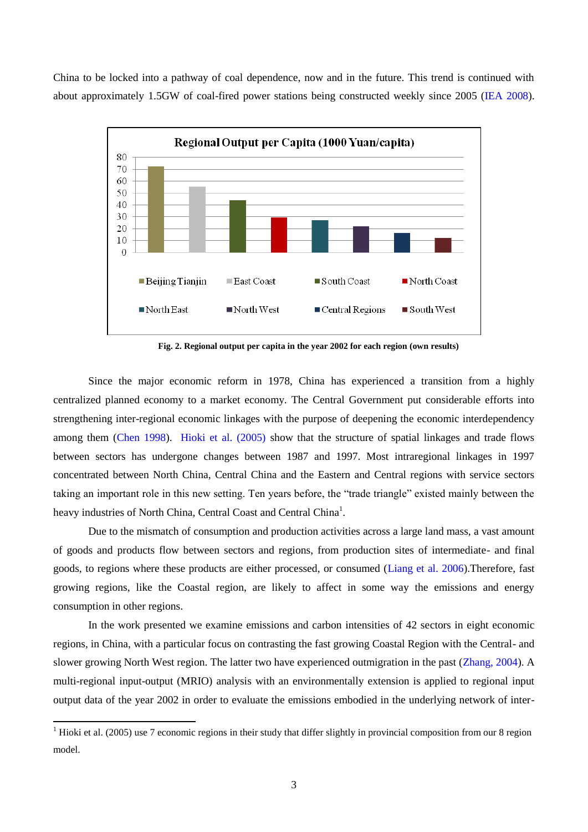China to be locked into a pathway of coal dependence, now and in the future. This trend is continued with about approximately 1.5GW of coal-fired power stations being constructed weekly since 2005 [\(IEA 2008\)](#page-13-1).



**Fig. 2. Regional output per capita in the year 2002 for each region (own results)**

Since the major economic reform in 1978, China has experienced a transition from a highly centralized planned economy to a market economy. The Central Government put considerable efforts into strengthening inter-regional economic linkages with the purpose of deepening the economic interdependency among them [\(Chen 1998\)](#page-12-7). [Hioki et al. \(2005\)](#page-12-8) show that the structure of spatial linkages and trade flows between sectors has undergone changes between 1987 and 1997. Most intraregional linkages in 1997 concentrated between North China, Central China and the Eastern and Central regions with service sectors taking an important role in this new setting. Ten years before, the "trade triangle" existed mainly between the heavy industries of North China, Central Coast and Central China<sup>1</sup>.

Due to the mismatch of consumption and production activities across a large land mass, a vast amount of goods and products flow between sectors and regions, from production sites of intermediate- and final goods, to regions where these products are either processed, or consumed [\(Liang et al. 2006\)](#page-13-2).Therefore, fast growing regions, like the Coastal region, are likely to affect in some way the emissions and energy consumption in other regions.

In the work presented we examine emissions and carbon intensities of 42 sectors in eight economic regions, in China, with a particular focus on contrasting the fast growing Coastal Region with the Central- and slower growing North West region. The latter two have experienced outmigration in the past [\(Zhang, 2004\)](#page-14-1). A multi-regional input-output (MRIO) analysis with an environmentally extension is applied to regional input output data of the year 2002 in order to evaluate the emissions embodied in the underlying network of inter-

1

<sup>&</sup>lt;sup>1</sup> Hioki et al. (2005) use 7 economic regions in their study that differ slightly in provincial composition from our 8 region model.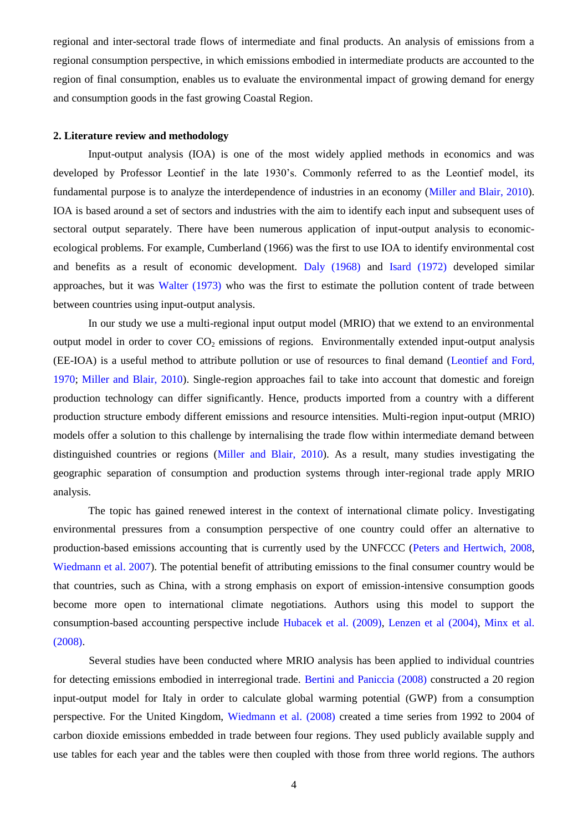regional and inter-sectoral trade flows of intermediate and final products. An analysis of emissions from a regional consumption perspective, in which emissions embodied in intermediate products are accounted to the region of final consumption, enables us to evaluate the environmental impact of growing demand for energy and consumption goods in the fast growing Coastal Region.

## **2. Literature review and methodology**

Input-output analysis (IOA) is one of the most widely applied methods in economics and was developed by Professor Leontief in the late 1930's. Commonly referred to as the Leontief model, its fundamental purpose is to analyze the interdependence of industries in an economy [\(Miller and Blair, 2010\)](#page-13-3). IOA is based around a set of sectors and industries with the aim to identify each input and subsequent uses of sectoral output separately. There have been numerous application of input-output analysis to economicecological problems. For example, Cumberland (1966) was the first to use IOA to identify environmental cost and benefits as a result of economic development. [Daly \(1968\)](#page-12-9) and [Isard \(1972\)](#page-13-4) developed similar approaches, but it was [Walter \(1973\)](#page-14-2) who was the first to estimate the pollution content of trade between between countries using input-output analysis.

In our study we use a multi-regional input output model (MRIO) that we extend to an environmental output model in order to cover  $CO<sub>2</sub>$  emissions of regions. Environmentally extended input-output analysis (EE-IOA) is a useful method to attribute pollution or use of resources to final demand [\(Leontief and Ford,](#page-13-5)  [1970;](#page-13-5) [Miller and Blair, 2010\)](#page-13-3). Single-region approaches fail to take into account that domestic and foreign production technology can differ significantly. Hence, products imported from a country with a different production structure embody different emissions and resource intensities. Multi-region input-output (MRIO) models offer a solution to this challenge by internalising the trade flow within intermediate demand between distinguished countries or regions [\(Miller and Blair, 2010\)](#page-13-3). As a result, many studies investigating the geographic separation of consumption and production systems through inter-regional trade apply MRIO analysis.

The topic has gained renewed interest in the context of international climate policy. Investigating environmental pressures from a consumption perspective of one country could offer an alternative to production-based emissions accounting that is currently used by the UNFCCC [\(Peters and Hertwich, 2008,](#page-13-6) [Wiedmann et al. 2007\)](#page-14-3). The potential benefit of attributing emissions to the final consumer country would be that countries, such as China, with a strong emphasis on export of emission-intensive consumption goods become more open to international climate negotiations. Authors using this model to support the consumption-based accounting perspective include [Hubacek et al. \(2009\),](#page-13-7) [Lenzen et al \(2004\),](#page-13-8) [Minx et al.](#page-13-9)  [\(2008\).](#page-13-9)

Several studies have been conducted where MRIO analysis has been applied to individual countries for detecting emissions embodied in interregional trade. [Bertini and Paniccia \(2008\)](#page-12-10) constructed a 20 region input-output model for Italy in order to calculate global warming potential (GWP) from a consumption perspective. For the United Kingdom, [Wiedmann et al. \(2008\)](#page-14-4) created a time series from 1992 to 2004 of carbon dioxide emissions embedded in trade between four regions. They used publicly available supply and use tables for each year and the tables were then coupled with those from three world regions. The authors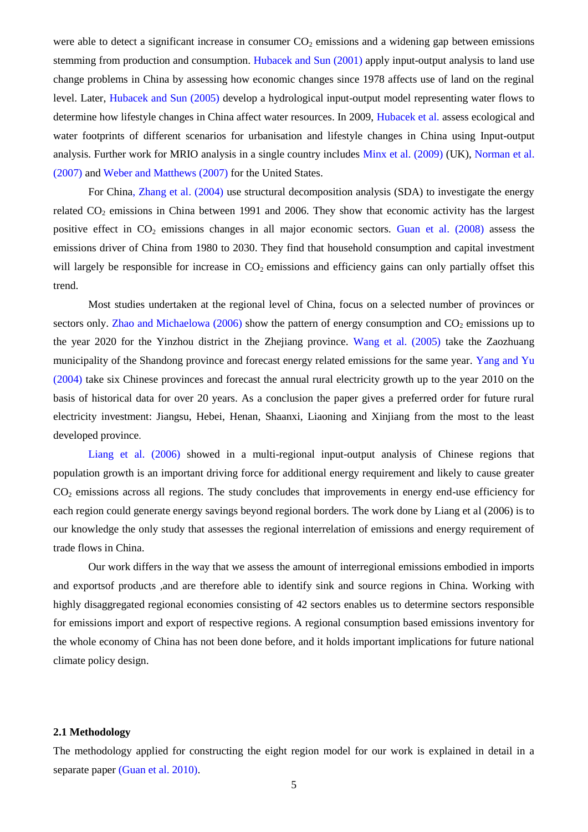were able to detect a significant increase in consumer  $CO<sub>2</sub>$  emissions and a widening gap between emissions stemming from production and consumption. [Hubacek and Sun \(2001\)](#page-12-4) apply input-output analysis to land use change problems in China by assessing how economic changes since 1978 affects use of land on the reginal level. Later, [Hubacek and Sun \(2005\)](#page-12-11) develop a hydrological input-output model representing water flows to determine how lifestyle changes in China affect water resources. In 2009, [Hubacek et al.](#page-13-7) assess ecological and water footprints of different scenarios for urbanisation and lifestyle changes in China using Input-output analysis. Further work for MRIO analysis in a single country includes [Minx et al. \(2009\)](#page-13-10) (UK), [Norman et al.](#page-13-11)  [\(2007\)](#page-13-11) an[d Weber and Matthews \(2007\)](#page-14-5) for the United States.

For Chin[a, Zhang et al. \(2004\)](#page-14-1) use structural decomposition analysis (SDA) to investigate the energy related  $CO<sub>2</sub>$  emissions in China between 1991 and 2006. They show that economic activity has the largest positive effect in  $CO_2$  emissions changes in all major economic sectors. [Guan et al. \(2008\)](#page-12-6) assess the emissions driver of China from 1980 to 2030. They find that household consumption and capital investment will largely be responsible for increase in  $CO<sub>2</sub>$  emissions and efficiency gains can only partially offset this trend.

Most studies undertaken at the regional level of China, focus on a selected number of provinces or sectors only. [Zhao and Michaelowa \(2006\)](#page-14-6) show the pattern of energy consumption and  $CO<sub>2</sub>$  emissions up to the year 2020 for the Yinzhou district in the Zhejiang province. [Wang et al. \(2005\)](#page-14-7) take the Zaozhuang municipality of the Shandong province and forecast energy related emissions for the same year. [Yang and Yu](#page-14-8)  [\(2004\)](#page-14-8) take six Chinese provinces and forecast the annual rural electricity growth up to the year 2010 on the basis of historical data for over 20 years. As a conclusion the paper gives a preferred order for future rural electricity investment: Jiangsu, Hebei, Henan, Shaanxi, Liaoning and Xinjiang from the most to the least developed province.

[Liang et al. \(2006\)](#page-13-2) showed in a multi-regional input-output analysis of Chinese regions that population growth is an important driving force for additional energy requirement and likely to cause greater  $CO<sub>2</sub>$  emissions across all regions. The study concludes that improvements in energy end-use efficiency for each region could generate energy savings beyond regional borders. The work done by Liang et al (2006) is to our knowledge the only study that assesses the regional interrelation of emissions and energy requirement of trade flows in China.

Our work differs in the way that we assess the amount of interregional emissions embodied in imports and exportsof products ,and are therefore able to identify sink and source regions in China. Working with highly disaggregated regional economies consisting of 42 sectors enables us to determine sectors responsible for emissions import and export of respective regions. A regional consumption based emissions inventory for the whole economy of China has not been done before, and it holds important implications for future national climate policy design.

#### **2.1 Methodology**

The methodology applied for constructing the eight region model for our work is explained in detail in a separate paper [\(Guan et al. 2010\).](#page-12-3)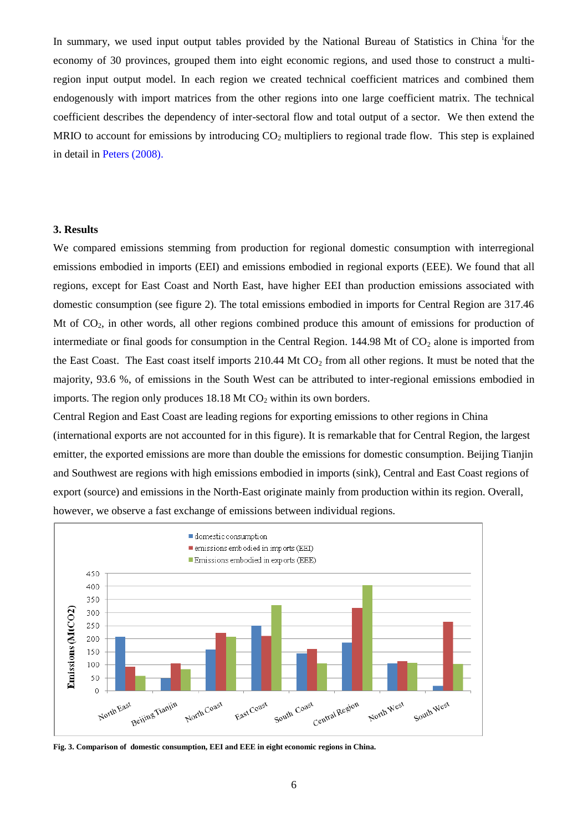In summary, we used input output tables provided by the National Bureau of Statistics in China if or the economy of 30 provinces, grouped them into eight economic regions, and used those to construct a multiregion input output model. In each region we created technical coefficient matrices and combined them endogenously with import matrices from the other regions into one large coefficient matrix. The technical coefficient describes the dependency of inter-sectoral flow and total output of a sector. We then extend the MRIO to account for emissions by introducing  $CO<sub>2</sub>$  multipliers to regional trade flow. This step is explained in detail in [Peters \(2008\).](#page-13-12)

#### **3. Results**

We compared emissions stemming from production for regional domestic consumption with interregional emissions embodied in imports (EEI) and emissions embodied in regional exports (EEE). We found that all regions, except for East Coast and North East, have higher EEI than production emissions associated with domestic consumption (see figure 2). The total emissions embodied in imports for Central Region are 317.46 Mt of CO<sub>2</sub>, in other words, all other regions combined produce this amount of emissions for production of intermediate or final goods for consumption in the Central Region.  $144.98$  Mt of  $CO<sub>2</sub>$  alone is imported from the East Coast. The East coast itself imports  $210.44$  Mt CO<sub>2</sub> from all other regions. It must be noted that the majority, 93.6 %, of emissions in the South West can be attributed to inter-regional emissions embodied in imports. The region only produces  $18.18$  Mt CO<sub>2</sub> within its own borders.

Central Region and East Coast are leading regions for exporting emissions to other regions in China (international exports are not accounted for in this figure). It is remarkable that for Central Region, the largest emitter, the exported emissions are more than double the emissions for domestic consumption. Beijing Tianjin and Southwest are regions with high emissions embodied in imports (sink), Central and East Coast regions of export (source) and emissions in the North-East originate mainly from production within its region. Overall, however, we observe a fast exchange of emissions between individual regions.



**Fig. 3. Comparison of domestic consumption, EEI and EEE in eight economic regions in China.**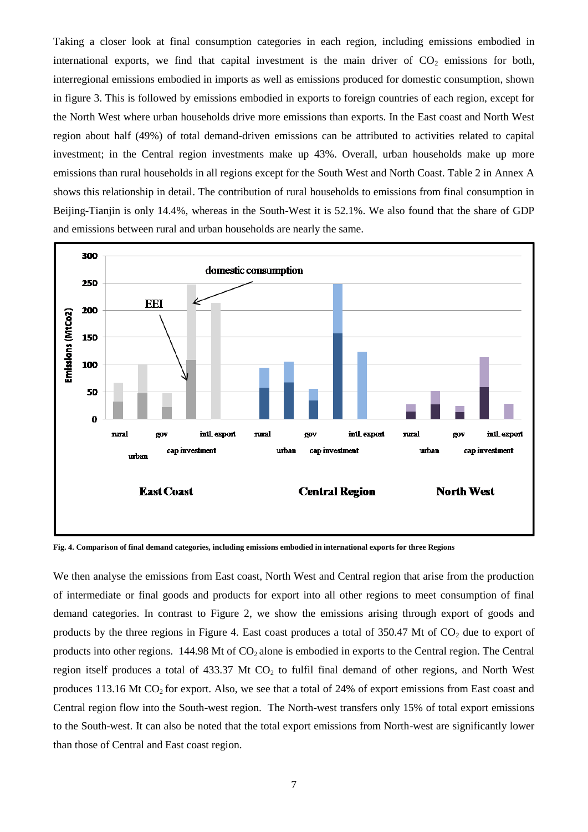Taking a closer look at final consumption categories in each region, including emissions embodied in international exports, we find that capital investment is the main driver of  $CO<sub>2</sub>$  emissions for both, interregional emissions embodied in imports as well as emissions produced for domestic consumption, shown in figure 3. This is followed by emissions embodied in exports to foreign countries of each region, except for the North West where urban households drive more emissions than exports. In the East coast and North West region about half (49%) of total demand-driven emissions can be attributed to activities related to capital investment; in the Central region investments make up 43%. Overall, urban households make up more emissions than rural households in all regions except for the South West and North Coast. Table 2 in Annex A shows this relationship in detail. The contribution of rural households to emissions from final consumption in Beijing-Tianjin is only 14.4%, whereas in the South-West it is 52.1%. We also found that the share of GDP and emissions between rural and urban households are nearly the same.

<span id="page-6-0"></span>

**Fig. 4. Comparison of final demand categories, including emissions embodied in international exports for three Regions**

We then analyse the emissions from East coast, North West and Central region that arise from the production of intermediate or final goods and products for export into all other regions to meet consumption of final demand categories. In contrast to Figure 2, we show the emissions arising through export of goods and products by the three regions in Figure 4. East coast produces a total of 350.47 Mt of  $CO<sub>2</sub>$  due to export of products into other regions. 144.98 Mt of  $CO<sub>2</sub>$  alone is embodied in exports to the Central region. The Central region itself produces a total of  $433.37$  Mt CO<sub>2</sub> to fulfil final demand of other regions, and North West produces 113.16 Mt  $CO<sub>2</sub>$  for export. Also, we see that a total of 24% of export emissions from East coast and Central region flow into the South-west region. The North-west transfers only 15% of total export emissions to the South-west. It can also be noted that the total export emissions from North-west are significantly lower than those of Central and East coast region.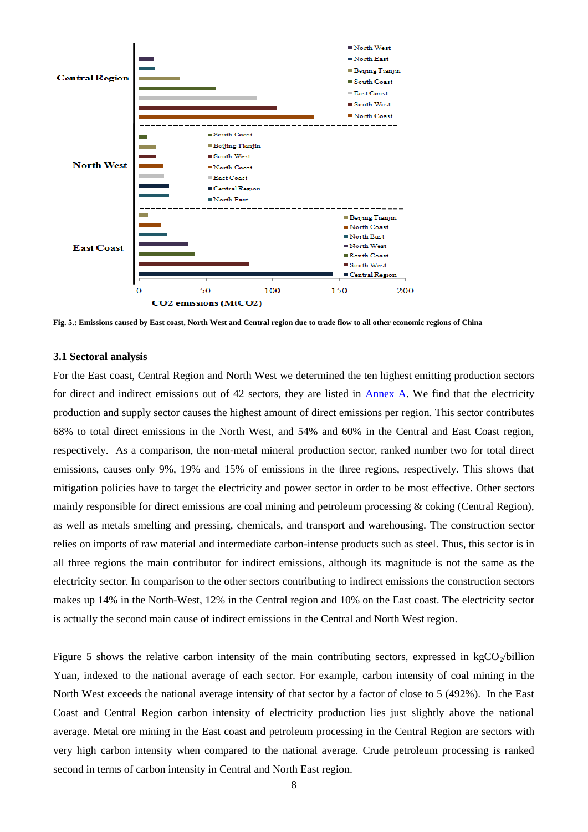

**Fig. 5.: Emissions caused by East coast, North West and Central region due to trade flow to all other economic regions of China**

#### **3.1 Sectoral analysis**

For the East coast, Central Region and North West we determined the ten highest emitting production sectors for direct and indirect emissions out of 42 sectors, they are listed in [Annex A.](#page-6-0) We find that the electricity production and supply sector causes the highest amount of direct emissions per region. This sector contributes 68% to total direct emissions in the North West, and 54% and 60% in the Central and East Coast region, respectively. As a comparison, the non-metal mineral production sector, ranked number two for total direct emissions, causes only 9%, 19% and 15% of emissions in the three regions, respectively. This shows that mitigation policies have to target the electricity and power sector in order to be most effective. Other sectors mainly responsible for direct emissions are coal mining and petroleum processing & coking (Central Region), as well as metals smelting and pressing, chemicals, and transport and warehousing. The construction sector relies on imports of raw material and intermediate carbon-intense products such as steel. Thus, this sector is in all three regions the main contributor for indirect emissions, although its magnitude is not the same as the electricity sector. In comparison to the other sectors contributing to indirect emissions the construction sectors makes up 14% in the North-West, 12% in the Central region and 10% on the East coast. The electricity sector is actually the second main cause of indirect emissions in the Central and North West region.

Figure 5 shows the relative carbon intensity of the main contributing sectors, expressed in  $kgCO<sub>2</sub>/billion$ Yuan, indexed to the national average of each sector. For example, carbon intensity of coal mining in the North West exceeds the national average intensity of that sector by a factor of close to 5 (492%). In the East Coast and Central Region carbon intensity of electricity production lies just slightly above the national average. Metal ore mining in the East coast and petroleum processing in the Central Region are sectors with very high carbon intensity when compared to the national average. Crude petroleum processing is ranked second in terms of carbon intensity in Central and North East region.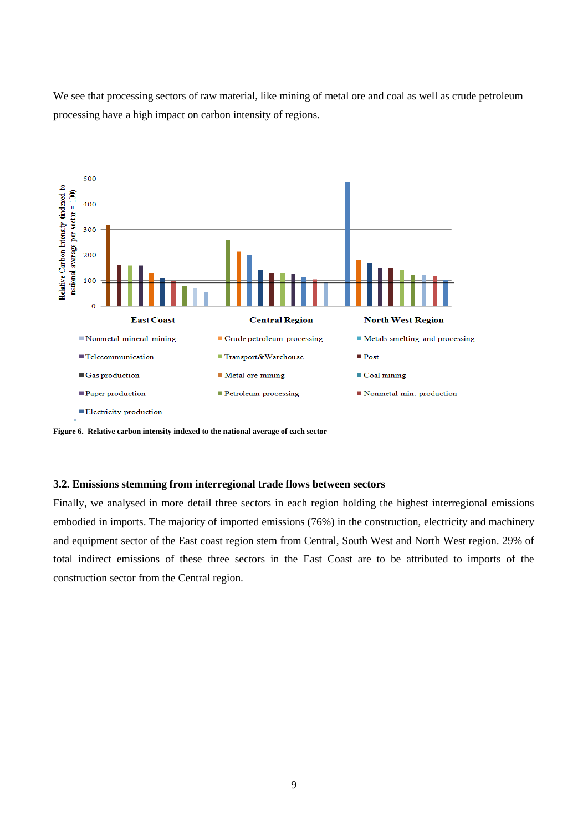We see that processing sectors of raw material, like mining of metal ore and coal as well as crude petroleum processing have a high impact on carbon intensity of regions.



**Figure 6. Relative carbon intensity indexed to the national average of each sector**

### **3.2. Emissions stemming from interregional trade flows between sectors**

Finally, we analysed in more detail three sectors in each region holding the highest interregional emissions embodied in imports. The majority of imported emissions (76%) in the construction, electricity and machinery and equipment sector of the East coast region stem from Central, South West and North West region. 29% of total indirect emissions of these three sectors in the East Coast are to be attributed to imports of the construction sector from the Central region.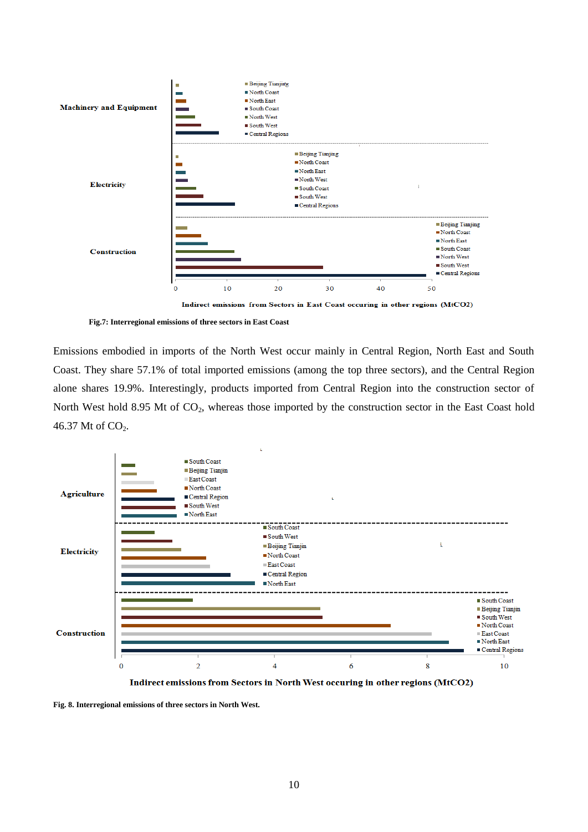

Indirect emissions from Sectors in East Coast occuring in other regions (MtCO2)

**Fig.7: Interregional emissions of three sectors in East Coast** 

Emissions embodied in imports of the North West occur mainly in Central Region, North East and South Coast. They share 57.1% of total imported emissions (among the top three sectors), and the Central Region alone shares 19.9%. Interestingly, products imported from Central Region into the construction sector of North West hold 8.95 Mt of CO<sub>2</sub>, whereas those imported by the construction sector in the East Coast hold 46.37 Mt of CO<sub>2</sub>.



Indirect emissions from Sectors in North West occuring in other regions (MtCO2)

**Fig. 8. Interregional emissions of three sectors in North West.**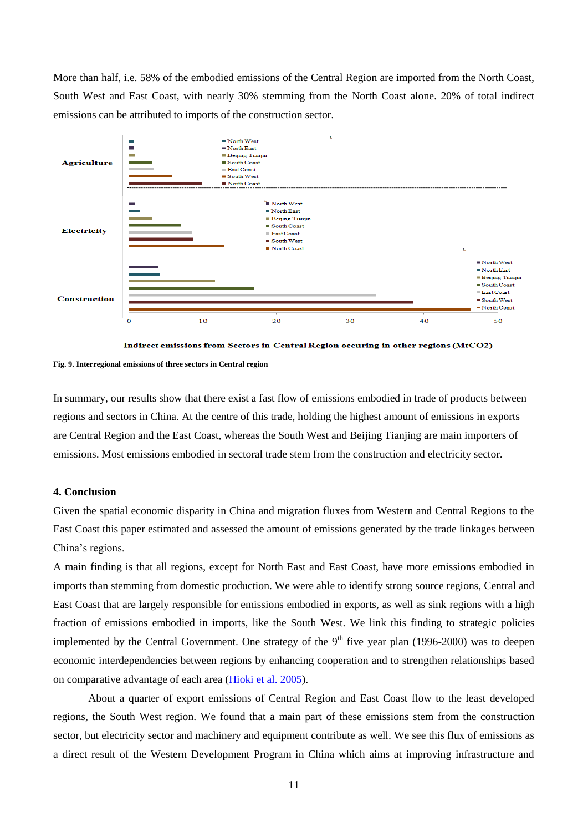More than half, i.e. 58% of the embodied emissions of the Central Region are imported from the North Coast, South West and East Coast, with nearly 30% stemming from the North Coast alone. 20% of total indirect emissions can be attributed to imports of the construction sector.



Indirect emissions from Sectors in Central Region occuring in other regions (MtCO2)

**Fig. 9. Interregional emissions of three sectors in Central region**

In summary, our results show that there exist a fast flow of emissions embodied in trade of products between regions and sectors in China. At the centre of this trade, holding the highest amount of emissions in exports are Central Region and the East Coast, whereas the South West and Beijing Tianjing are main importers of emissions. Most emissions embodied in sectoral trade stem from the construction and electricity sector.

# **4. Conclusion**

Given the spatial economic disparity in China and migration fluxes from Western and Central Regions to the East Coast this paper estimated and assessed the amount of emissions generated by the trade linkages between China's regions.

A main finding is that all regions, except for North East and East Coast, have more emissions embodied in imports than stemming from domestic production. We were able to identify strong source regions, Central and East Coast that are largely responsible for emissions embodied in exports, as well as sink regions with a high fraction of emissions embodied in imports, like the South West. We link this finding to strategic policies implemented by the Central Government. One strategy of the  $9<sup>th</sup>$  five year plan (1996-2000) was to deepen economic interdependencies between regions by enhancing cooperation and to strengthen relationships based on comparative advantage of each area [\(Hioki et al. 2005\)](#page-12-8).

About a quarter of export emissions of Central Region and East Coast flow to the least developed regions, the South West region. We found that a main part of these emissions stem from the construction sector, but electricity sector and machinery and equipment contribute as well. We see this flux of emissions as a direct result of the Western Development Program in China which aims at improving infrastructure and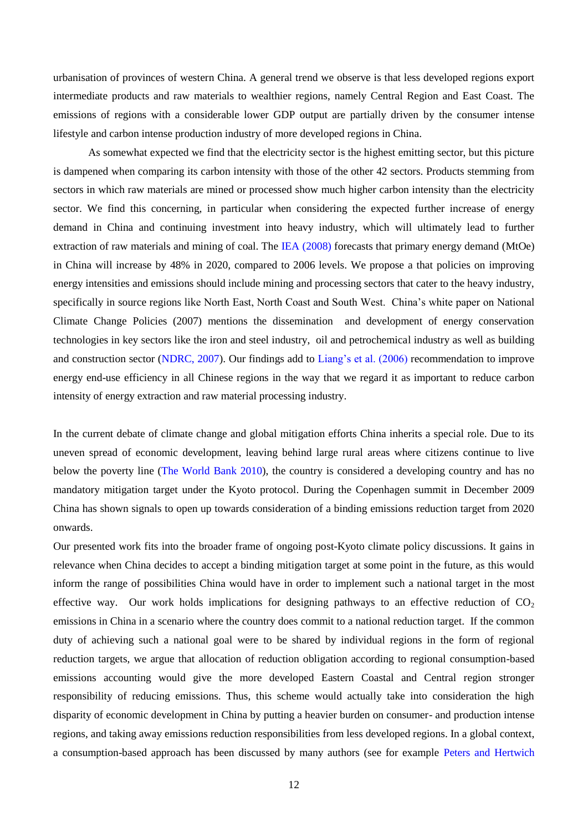urbanisation of provinces of western China. A general trend we observe is that less developed regions export intermediate products and raw materials to wealthier regions, namely Central Region and East Coast. The emissions of regions with a considerable lower GDP output are partially driven by the consumer intense lifestyle and carbon intense production industry of more developed regions in China.

As somewhat expected we find that the electricity sector is the highest emitting sector, but this picture is dampened when comparing its carbon intensity with those of the other 42 sectors. Products stemming from sectors in which raw materials are mined or processed show much higher carbon intensity than the electricity sector. We find this concerning, in particular when considering the expected further increase of energy demand in China and continuing investment into heavy industry, which will ultimately lead to further extraction of raw materials and mining of coal. The [IEA \(2008\)](#page-13-1) forecasts that primary energy demand (MtOe) in China will increase by 48% in 2020, compared to 2006 levels. We propose a that policies on improving energy intensities and emissions should include mining and processing sectors that cater to the heavy industry, specifically in source regions like North East, North Coast and South West. China's white paper on National Climate Change Policies (2007) mentions the dissemination and development of energy conservation technologies in key sectors like the iron and steel industry, oil and petrochemical industry as well as building and construction sector [\(NDRC, 2007\)](#page-13-13). Our findings add to [Liang's et al. \(2006\)](#page-13-2) recommendation to improve energy end-use efficiency in all Chinese regions in the way that we regard it as important to reduce carbon intensity of energy extraction and raw material processing industry.

In the current debate of climate change and global mitigation efforts China inherits a special role. Due to its uneven spread of economic development, leaving behind large rural areas where citizens continue to live below the poverty line [\(The World Bank 2010\)](#page-14-9), the country is considered a developing country and has no mandatory mitigation target under the Kyoto protocol. During the Copenhagen summit in December 2009 China has shown signals to open up towards consideration of a binding emissions reduction target from 2020 onwards.

Our presented work fits into the broader frame of ongoing post-Kyoto climate policy discussions. It gains in relevance when China decides to accept a binding mitigation target at some point in the future, as this would inform the range of possibilities China would have in order to implement such a national target in the most effective way. Our work holds implications for designing pathways to an effective reduction of  $CO<sub>2</sub>$ emissions in China in a scenario where the country does commit to a national reduction target. If the common duty of achieving such a national goal were to be shared by individual regions in the form of regional reduction targets, we argue that allocation of reduction obligation according to regional consumption-based emissions accounting would give the more developed Eastern Coastal and Central region stronger responsibility of reducing emissions. Thus, this scheme would actually take into consideration the high disparity of economic development in China by putting a heavier burden on consumer- and production intense regions, and taking away emissions reduction responsibilities from less developed regions. In a global context, a consumption-based approach has been discussed by many authors (see for example [Peters and Hertwich](#page-13-14)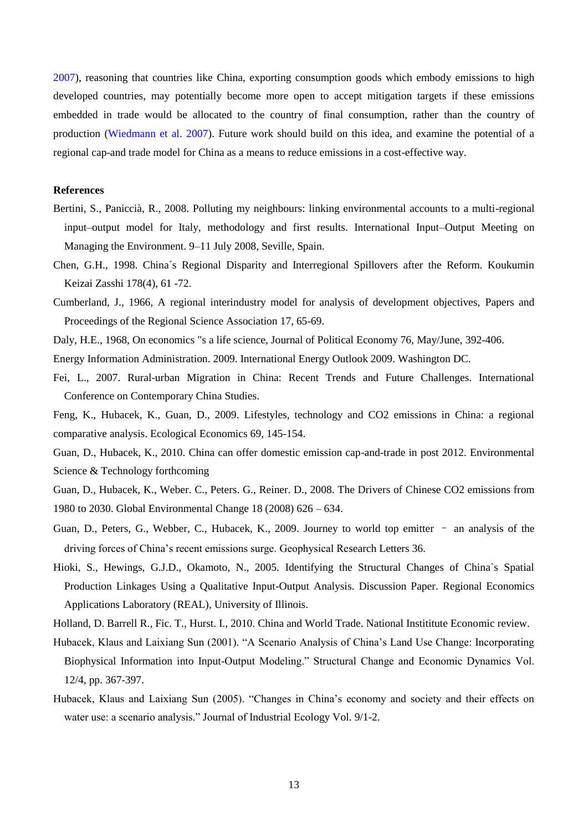2007), reasoning that countries like China, exporting consumption goods which embody emissions to high developed countries, may potentially become more open to accept mitigation targets if these emissions embedded in trade would be allocated to the country of final consumption, rather than the country of production [\(Wiedmann et al. 2007\)](#page-14-3). Future work should build on this idea, and examine the potential of a regional cap-and trade model for China as a means to reduce emissions in a cost-effective way.

## **References**

- <span id="page-12-10"></span>Bertini, S., Paniccià, R., 2008. Polluting my neighbours: linking environmental accounts to a multi-regional input–output model for Italy, methodology and first results. International Input–Output Meeting on Managing the Environment. 9–11 July 2008, Seville, Spain.
- <span id="page-12-7"></span>Chen, G.H., 1998. China´s Regional Disparity and Interregional Spillovers after the Reform. Koukumin Keizai Zasshi 178(4), 61 -72.
- Cumberland, J., 1966, A regional interindustry model for analysis of development objectives, Papers and Proceedings of the Regional Science Association 17, 65-69.
- <span id="page-12-9"></span>Daly, H.E., 1968, On economics "s a life science, Journal of Political Economy 76, May/June, 392-406.
- Energy Information Administration. 2009. International Energy Outlook 2009. Washington DC.
- <span id="page-12-0"></span>Fei, L., 2007. Rural-urban Migration in China: Recent Trends and Future Challenges. International Conference on Contemporary China Studies.
- <span id="page-12-2"></span>Feng, K., Hubacek, K., Guan, D., 2009. Lifestyles, technology and CO2 emissions in China: a regional comparative analysis. Ecological Economics 69, 145-154.
- <span id="page-12-3"></span>Guan, D., Hubacek, K., 2010. China can offer domestic emission cap-and-trade in post 2012. Environmental Science & Technology forthcoming
- <span id="page-12-6"></span>Guan, D., Hubacek, K., Weber. C., Peters. G., Reiner. D., 2008. The Drivers of Chinese CO2 emissions from 1980 to 2030. Global Environmental Change 18 (2008) 626 – 634.
- <span id="page-12-5"></span>Guan, D., Peters, G., Webber, C., Hubacek, K., 2009. Journey to world top emitter – an analysis of the driving forces of China's recent emissions surge. Geophysical Research Letters 36.
- <span id="page-12-8"></span>Hioki, S., Hewings, G.J.D., Okamoto, N., 2005. Identifying the Structural Changes of China`s Spatial Production Linkages Using a Qualitative Input-Output Analysis. Discussion Paper. Regional Economics Applications Laboratory (REAL), University of Illinois.
- <span id="page-12-1"></span>Holland, D. Barrell R., Fic. T., Hurst. I., 2010. China and World Trade. National Instititute Economic review.
- <span id="page-12-4"></span>Hubacek, Klaus and Laixiang Sun (2001). "A Scenario Analysis of China's Land Use Change: Incorporating Biophysical Information into Input-Output Modeling." Structural Change and Economic Dynamics Vol. 12/4, pp. 367-397.
- <span id="page-12-11"></span>Hubacek, Klaus and Laixiang Sun (2005). "Changes in China's economy and society and their effects on water use: a scenario analysis." Journal of Industrial Ecology Vol. 9/1-2.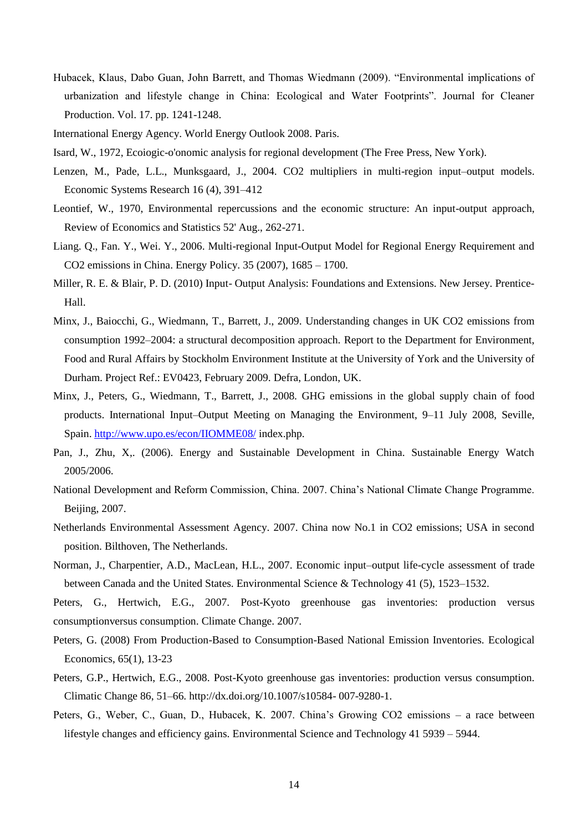- <span id="page-13-7"></span>Hubacek, Klaus, Dabo Guan, John Barrett, and Thomas Wiedmann (2009). "Environmental implications of urbanization and lifestyle change in China: Ecological and Water Footprints‖. Journal for Cleaner Production. Vol. 17. pp. 1241-1248.
- <span id="page-13-1"></span>International Energy Agency. World Energy Outlook 2008. Paris.
- <span id="page-13-4"></span>Isard, W., 1972, Ecoiogic-o'onomic analysis for regional development (The Free Press, New York).
- <span id="page-13-8"></span>Lenzen, M., Pade, L.L., Munksgaard, J., 2004. CO2 multipliers in multi-region input–output models. Economic Systems Research 16 (4), 391–412
- <span id="page-13-5"></span>Leontief, W., 1970, Environmental repercussions and the economic structure: An input-output approach, Review of Economics and Statistics 52' Aug., 262-271.
- <span id="page-13-2"></span>Liang. Q., Fan. Y., Wei. Y., 2006. Multi-regional Input-Output Model for Regional Energy Requirement and CO2 emissions in China. Energy Policy. 35 (2007), 1685 – 1700.
- <span id="page-13-3"></span>Miller, R. E. & Blair, P. D. (2010) Input- Output Analysis: Foundations and Extensions. New Jersey. Prentice-Hall.
- <span id="page-13-10"></span>Minx, J., Baiocchi, G., Wiedmann, T., Barrett, J., 2009. Understanding changes in UK CO2 emissions from consumption 1992–2004: a structural decomposition approach. Report to the Department for Environment, Food and Rural Affairs by Stockholm Environment Institute at the University of York and the University of Durham. Project Ref.: EV0423, February 2009. Defra, London, UK.
- <span id="page-13-9"></span>Minx, J., Peters, G., Wiedmann, T., Barrett, J., 2008. GHG emissions in the global supply chain of food products. International Input–Output Meeting on Managing the Environment, 9–11 July 2008, Seville, Spain[. http://www.upo.es/econ/IIOMME08/](http://www.upo.es/econ/IIOMME08/) index.php.
- Pan, J., Zhu, X,. (2006). Energy and Sustainable Development in China. Sustainable Energy Watch 2005/2006.
- <span id="page-13-13"></span>National Development and Reform Commission, China. 2007. China's National Climate Change Programme. Beijing, 2007.
- Netherlands Environmental Assessment Agency. 2007. China now No.1 in CO2 emissions; USA in second position. Bilthoven, The Netherlands.
- <span id="page-13-11"></span>Norman, J., Charpentier, A.D., MacLean, H.L., 2007. Economic input–output life-cycle assessment of trade between Canada and the United States. Environmental Science & Technology 41 (5), 1523–1532.

<span id="page-13-14"></span>Peters, G., Hertwich, E.G., 2007. Post-Kyoto greenhouse gas inventories: production versus consumptionversus consumption. Climate Change. 2007.

- <span id="page-13-12"></span>Peters, G. (2008) From Production-Based to Consumption-Based National Emission Inventories. Ecological Economics, 65(1), 13-23
- <span id="page-13-6"></span>Peters, G.P., Hertwich, E.G., 2008. Post-Kyoto greenhouse gas inventories: production versus consumption. Climatic Change 86, 51–66. http://dx.doi.org/10.1007/s10584- 007-9280-1.
- <span id="page-13-0"></span>Peters, G., Weber, C., Guan, D., Hubacek, K. 2007. China's Growing CO2 emissions – a race between lifestyle changes and efficiency gains. Environmental Science and Technology 41 5939 – 5944.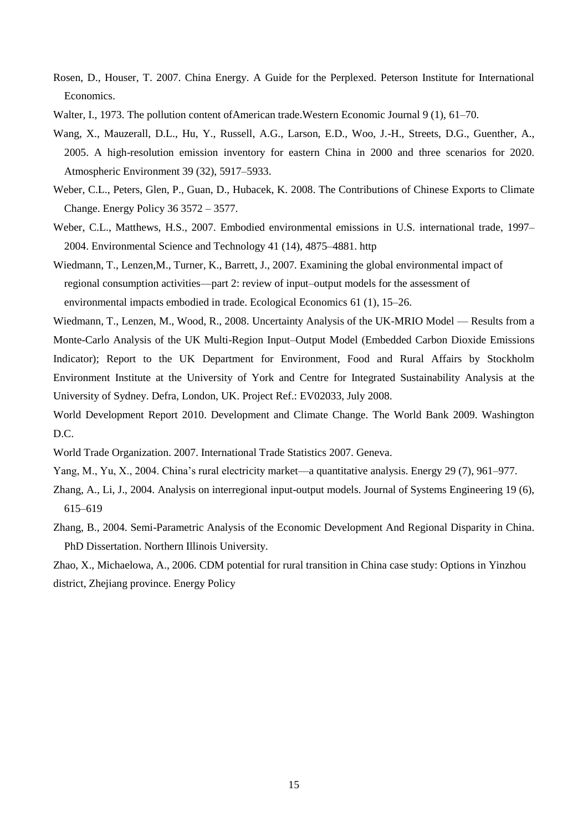- Rosen, D., Houser, T. 2007. China Energy. A Guide for the Perplexed. Peterson Institute for International Economics.
- <span id="page-14-2"></span>Walter, I., 1973. The pollution content of American trade. Western Economic Journal 9 (1), 61–70.
- <span id="page-14-7"></span>Wang, X., Mauzerall, D.L., Hu, Y., Russell, A.G., Larson, E.D., Woo, J.-H., Streets, D.G., Guenther, A., 2005. A high-resolution emission inventory for eastern China in 2000 and three scenarios for 2020. Atmospheric Environment 39 (32), 5917–5933.
- Weber, C.L., Peters, Glen, P., Guan, D., Hubacek, K. 2008. The Contributions of Chinese Exports to Climate Change. Energy Policy 36 3572 – 3577.
- <span id="page-14-5"></span>Weber, C.L., Matthews, H.S., 2007. Embodied environmental emissions in U.S. international trade, 1997– 2004. Environmental Science and Technology 41 (14), 4875–4881. http
- <span id="page-14-3"></span>Wiedmann, T., Lenzen,M., Turner, K., Barrett, J., 2007. Examining the global environmental impact of regional consumption activities—part 2: review of input–output models for the assessment of environmental impacts embodied in trade. Ecological Economics 61 (1), 15–26.
- <span id="page-14-4"></span>Wiedmann, T., Lenzen, M., Wood, R., 2008. Uncertainty Analysis of the UK-MRIO Model — Results from a Monte-Carlo Analysis of the UK Multi-Region Input–Output Model (Embedded Carbon Dioxide Emissions Indicator); Report to the UK Department for Environment, Food and Rural Affairs by Stockholm Environment Institute at the University of York and Centre for Integrated Sustainability Analysis at the University of Sydney. Defra, London, UK. Project Ref.: EV02033, July 2008.
- <span id="page-14-9"></span>World Development Report 2010. Development and Climate Change. The World Bank 2009. Washington D.C.
- World Trade Organization. 2007. International Trade Statistics 2007. Geneva.
- <span id="page-14-8"></span>Yang, M., Yu, X., 2004. China's rural electricity market—a quantitative analysis. Energy 29 (7), 961–977.
- <span id="page-14-1"></span>Zhang, A., Li, J., 2004. Analysis on interregional input-output models. Journal of Systems Engineering 19 (6), 615–619
- <span id="page-14-0"></span>Zhang, B., 2004. Semi-Parametric Analysis of the Economic Development And Regional Disparity in China. PhD Dissertation. Northern Illinois University.

<span id="page-14-6"></span>Zhao, X., Michaelowa, A., 2006. CDM potential for rural transition in China case study: Options in Yinzhou district, Zhejiang province. Energy Policy